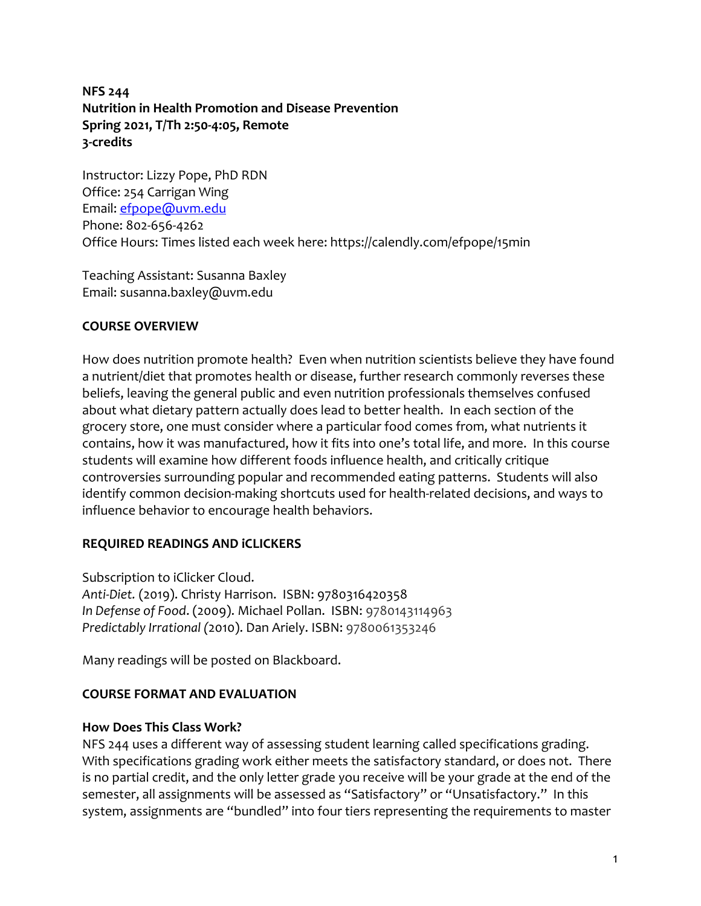### **NFS 244 Nutrition in Health Promotion and Disease Prevention Spring 2021, T/Th 2:50-4:05, Remote 3-credits**

Instructor: Lizzy Pope, PhD RDN Office: 254 Carrigan Wing Email: efpope@uvm.edu Phone: 802-656-4262 Office Hours: Times listed each week here: https://calendly.com/efpope/15min

Teaching Assistant: Susanna Baxley Email: susanna.baxley@uvm.edu

#### **COURSE OVERVIEW**

How does nutrition promote health? Even when nutrition scientists believe they have found a nutrient/diet that promotes health or disease, further research commonly reverses these beliefs, leaving the general public and even nutrition professionals themselves confused about what dietary pattern actually does lead to better health. In each section of the grocery store, one must consider where a particular food comes from, what nutrients it contains, how it was manufactured, how it fits into one's total life, and more. In this course students will examine how different foods influence health, and critically critique controversies surrounding popular and recommended eating patterns. Students will also identify common decision-making shortcuts used for health-related decisions, and ways to influence behavior to encourage health behaviors.

# **REQUIRED READINGS AND iCLICKERS**

Subscription to iClicker Cloud.

*Anti-Diet.* (2019). Christy Harrison. ISBN: 9780316420358 *In Defense of Food*. (2009). Michael Pollan. ISBN: 9780143114963 *Predictably Irrational (*2010). Dan Ariely. ISBN: 9780061353246

Many readings will be posted on Blackboard.

#### **COURSE FORMAT AND EVALUATION**

#### **How Does This Class Work?**

NFS 244 uses a different way of assessing student learning called specifications grading. With specifications grading work either meets the satisfactory standard, or does not. There is no partial credit, and the only letter grade you receive will be your grade at the end of the semester, all assignments will be assessed as "Satisfactory" or "Unsatisfactory." In this system, assignments are "bundled" into four tiers representing the requirements to master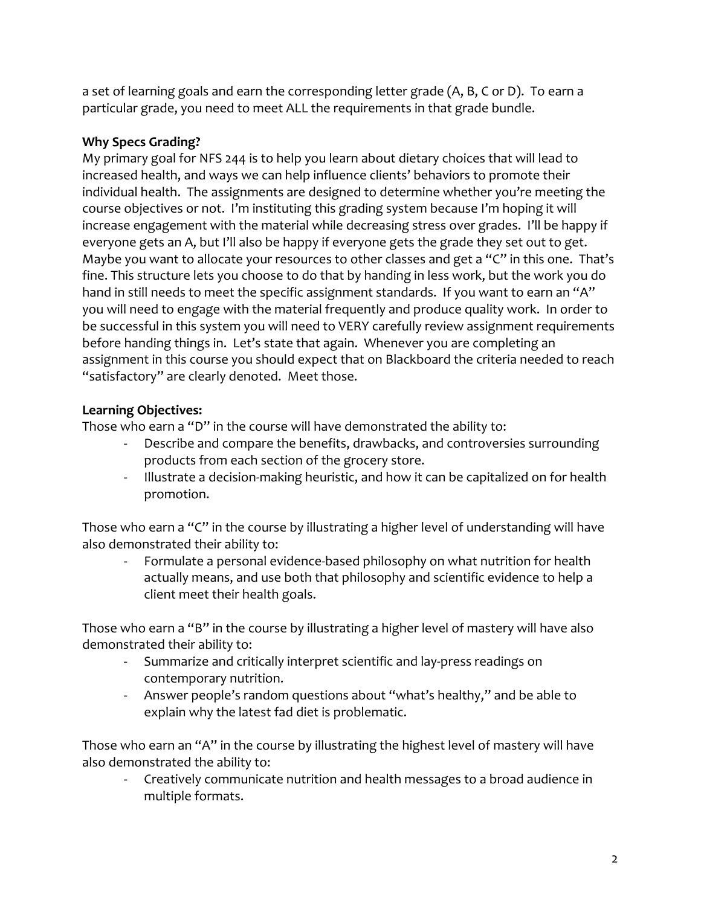a set of learning goals and earn the corresponding letter grade (A, B, C or D). To earn a particular grade, you need to meet ALL the requirements in that grade bundle.

# **Why Specs Grading?**

My primary goal for NFS 244 is to help you learn about dietary choices that will lead to increased health, and ways we can help influence clients' behaviors to promote their individual health. The assignments are designed to determine whether you're meeting the course objectives or not. I'm instituting this grading system because I'm hoping it will increase engagement with the material while decreasing stress over grades. I'll be happy if everyone gets an A, but I'll also be happy if everyone gets the grade they set out to get. Maybe you want to allocate your resources to other classes and get a "C" in this one. That's fine. This structure lets you choose to do that by handing in less work, but the work you do hand in still needs to meet the specific assignment standards. If you want to earn an "A" you will need to engage with the material frequently and produce quality work. In order to be successful in this system you will need to VERY carefully review assignment requirements before handing things in. Let's state that again. Whenever you are completing an assignment in this course you should expect that on Blackboard the criteria needed to reach "satisfactory" are clearly denoted. Meet those.

# **Learning Objectives:**

Those who earn a "D" in the course will have demonstrated the ability to:

- Describe and compare the benefits, drawbacks, and controversies surrounding products from each section of the grocery store.
- Illustrate a decision-making heuristic, and how it can be capitalized on for health promotion.

Those who earn a "C" in the course by illustrating a higher level of understanding will have also demonstrated their ability to:

- Formulate a personal evidence-based philosophy on what nutrition for health actually means, and use both that philosophy and scientific evidence to help a client meet their health goals.

Those who earn a "B" in the course by illustrating a higher level of mastery will have also demonstrated their ability to:

- Summarize and critically interpret scientific and lay-press readings on contemporary nutrition.
- Answer people's random questions about "what's healthy," and be able to explain why the latest fad diet is problematic.

Those who earn an "A" in the course by illustrating the highest level of mastery will have also demonstrated the ability to:

- Creatively communicate nutrition and health messages to a broad audience in multiple formats.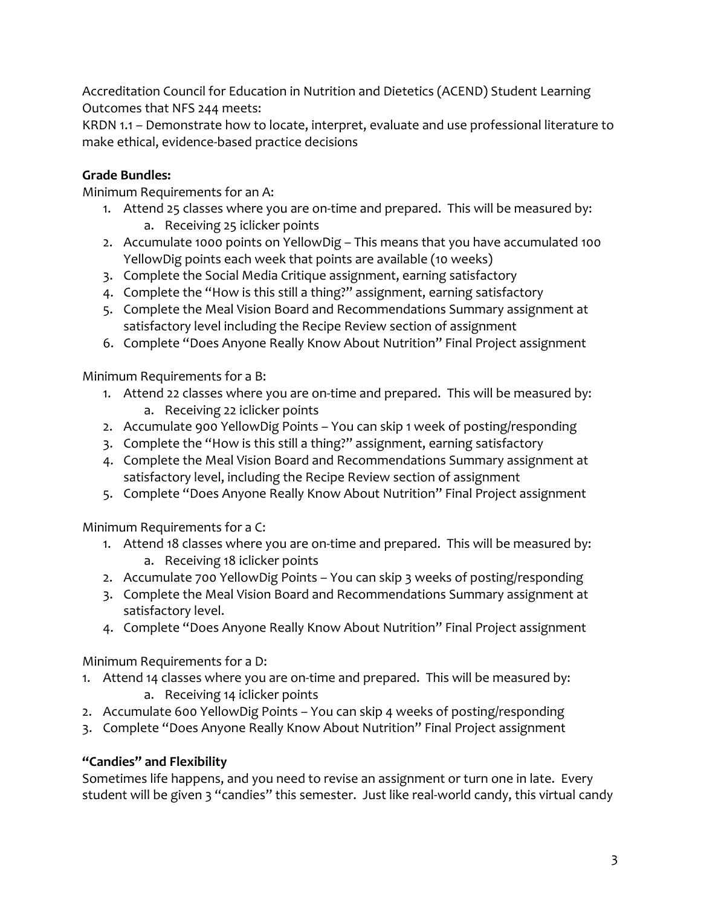Accreditation Council for Education in Nutrition and Dietetics (ACEND) Student Learning Outcomes that NFS 244 meets:

KRDN 1.1 – Demonstrate how to locate, interpret, evaluate and use professional literature to make ethical, evidence-based practice decisions

# **Grade Bundles:**

Minimum Requirements for an A:

- 1. Attend 25 classes where you are on-time and prepared. This will be measured by: a. Receiving 25 iclicker points
- 2. Accumulate 1000 points on YellowDig This means that you have accumulated 100 YellowDig points each week that points are available (10 weeks)
- 3. Complete the Social Media Critique assignment, earning satisfactory
- 4. Complete the "How is this still a thing?" assignment, earning satisfactory
- 5. Complete the Meal Vision Board and Recommendations Summary assignment at satisfactory level including the Recipe Review section of assignment
- 6. Complete "Does Anyone Really Know About Nutrition" Final Project assignment

Minimum Requirements for a B:

- 1. Attend 22 classes where you are on-time and prepared. This will be measured by: a. Receiving 22 iclicker points
- 2. Accumulate 900 YellowDig Points You can skip 1 week of posting/responding
- 3. Complete the "How is this still a thing?" assignment, earning satisfactory
- 4. Complete the Meal Vision Board and Recommendations Summary assignment at satisfactory level, including the Recipe Review section of assignment
- 5. Complete "Does Anyone Really Know About Nutrition" Final Project assignment

Minimum Requirements for a C:

- 1. Attend 18 classes where you are on-time and prepared. This will be measured by: a. Receiving 18 iclicker points
- 2. Accumulate 700 YellowDig Points You can skip 3 weeks of posting/responding
- 3. Complete the Meal Vision Board and Recommendations Summary assignment at satisfactory level.
- 4. Complete "Does Anyone Really Know About Nutrition" Final Project assignment

Minimum Requirements for a D:

- 1. Attend 14 classes where you are on-time and prepared. This will be measured by: a. Receiving 14 iclicker points
- 2. Accumulate 600 YellowDig Points You can skip 4 weeks of posting/responding
- 3. Complete "Does Anyone Really Know About Nutrition" Final Project assignment

# **"Candies" and Flexibility**

Sometimes life happens, and you need to revise an assignment or turn one in late. Every student will be given 3 "candies" this semester. Just like real-world candy, this virtual candy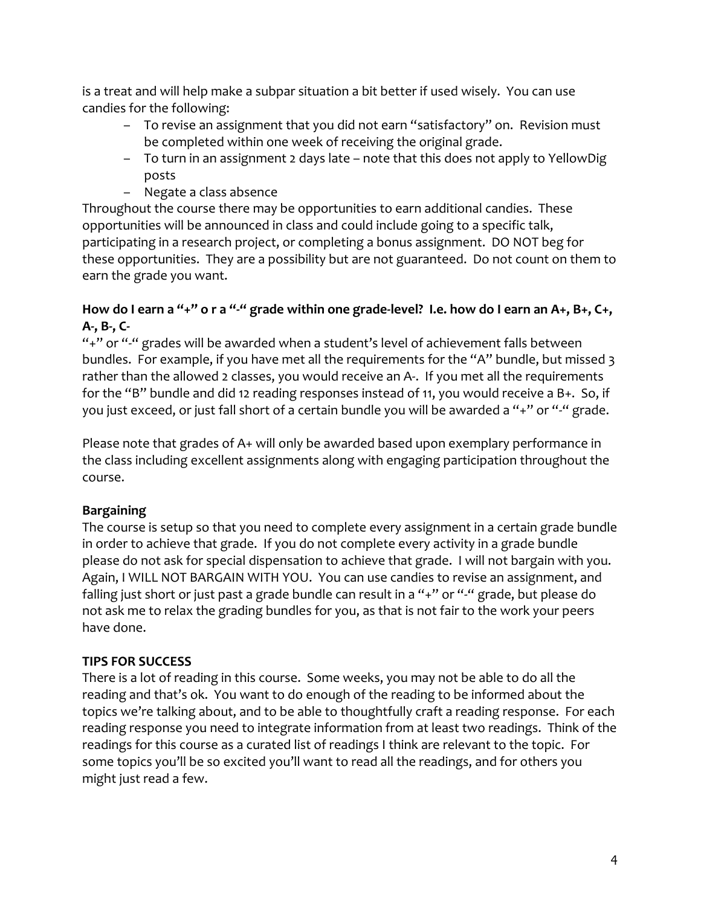is a treat and will help make a subpar situation a bit better if used wisely. You can use candies for the following:

- To revise an assignment that you did not earn "satisfactory" on. Revision must be completed within one week of receiving the original grade.
- To turn in an assignment 2 days late note that this does not apply to YellowDig posts
- Negate a class absence

Throughout the course there may be opportunities to earn additional candies. These opportunities will be announced in class and could include going to a specific talk, participating in a research project, or completing a bonus assignment. DO NOT beg for these opportunities. They are a possibility but are not guaranteed. Do not count on them to earn the grade you want.

# **How do I earn a "+" o r a "-" grade within one grade-level? I.e. how do I earn an A+, B+, C+, A-, B-, C-**

"+" or "-" grades will be awarded when a student's level of achievement falls between bundles. For example, if you have met all the requirements for the "A" bundle, but missed 3 rather than the allowed 2 classes, you would receive an A-. If you met all the requirements for the "B" bundle and did 12 reading responses instead of 11, you would receive a B+. So, if you just exceed, or just fall short of a certain bundle you will be awarded a "+" or "-" grade.

Please note that grades of A+ will only be awarded based upon exemplary performance in the class including excellent assignments along with engaging participation throughout the course.

# **Bargaining**

The course is setup so that you need to complete every assignment in a certain grade bundle in order to achieve that grade. If you do not complete every activity in a grade bundle please do not ask for special dispensation to achieve that grade. I will not bargain with you. Again, I WILL NOT BARGAIN WITH YOU. You can use candies to revise an assignment, and falling just short or just past a grade bundle can result in a "+" or "-" grade, but please do not ask me to relax the grading bundles for you, as that is not fair to the work your peers have done.

# **TIPS FOR SUCCESS**

There is a lot of reading in this course. Some weeks, you may not be able to do all the reading and that's ok. You want to do enough of the reading to be informed about the topics we're talking about, and to be able to thoughtfully craft a reading response. For each reading response you need to integrate information from at least two readings. Think of the readings for this course as a curated list of readings I think are relevant to the topic. For some topics you'll be so excited you'll want to read all the readings, and for others you might just read a few.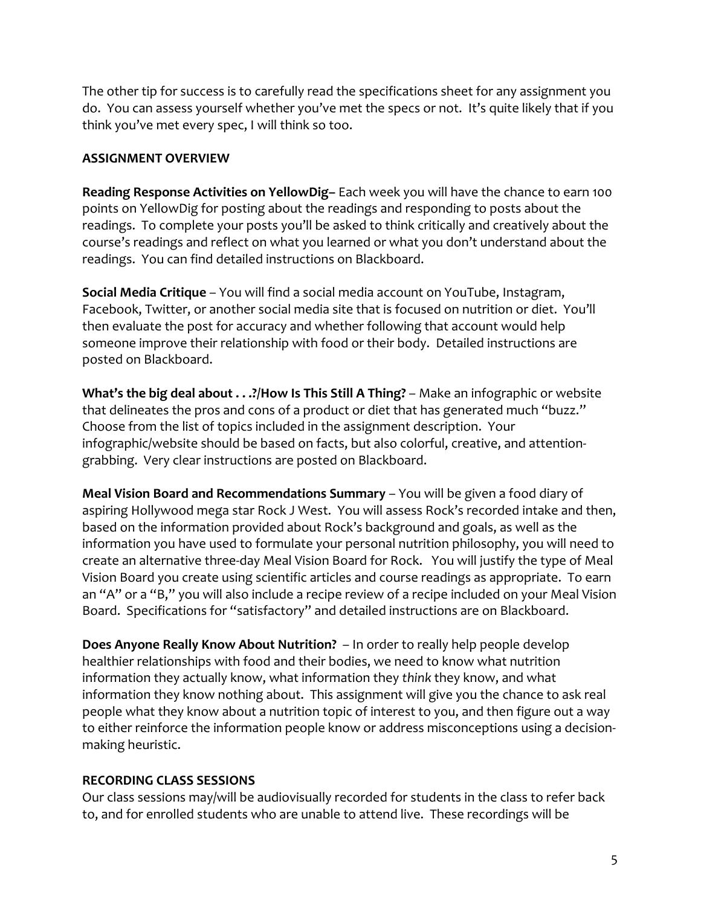The other tip for success is to carefully read the specifications sheet for any assignment you do. You can assess yourself whether you've met the specs or not. It's quite likely that if you think you've met every spec, I will think so too.

#### **ASSIGNMENT OVERVIEW**

**Reading Response Activities on YellowDig–** Each week you will have the chance to earn 100 points on YellowDig for posting about the readings and responding to posts about the readings. To complete your posts you'll be asked to think critically and creatively about the course's readings and reflect on what you learned or what you don't understand about the readings. You can find detailed instructions on Blackboard.

**Social Media Critique** – You will find a social media account on YouTube, Instagram, Facebook, Twitter, or another social media site that is focused on nutrition or diet. You'll then evaluate the post for accuracy and whether following that account would help someone improve their relationship with food or their body. Detailed instructions are posted on Blackboard.

**What's the big deal about . . .?/How Is This Still A Thing?** – Make an infographic or website that delineates the pros and cons of a product or diet that has generated much "buzz." Choose from the list of topics included in the assignment description. Your infographic/website should be based on facts, but also colorful, creative, and attentiongrabbing. Very clear instructions are posted on Blackboard.

**Meal Vision Board and Recommendations Summary** – You will be given a food diary of aspiring Hollywood mega star Rock J West. You will assess Rock's recorded intake and then, based on the information provided about Rock's background and goals, as well as the information you have used to formulate your personal nutrition philosophy, you will need to create an alternative three-day Meal Vision Board for Rock. You will justify the type of Meal Vision Board you create using scientific articles and course readings as appropriate. To earn an "A" or a "B," you will also include a recipe review of a recipe included on your Meal Vision Board. Specifications for "satisfactory" and detailed instructions are on Blackboard.

**Does Anyone Really Know About Nutrition?** – In order to really help people develop healthier relationships with food and their bodies, we need to know what nutrition information they actually know, what information they *think* they know, and what information they know nothing about. This assignment will give you the chance to ask real people what they know about a nutrition topic of interest to you, and then figure out a way to either reinforce the information people know or address misconceptions using a decisionmaking heuristic.

# **RECORDING CLASS SESSIONS**

Our class sessions may/will be audiovisually recorded for students in the class to refer back to, and for enrolled students who are unable to attend live. These recordings will be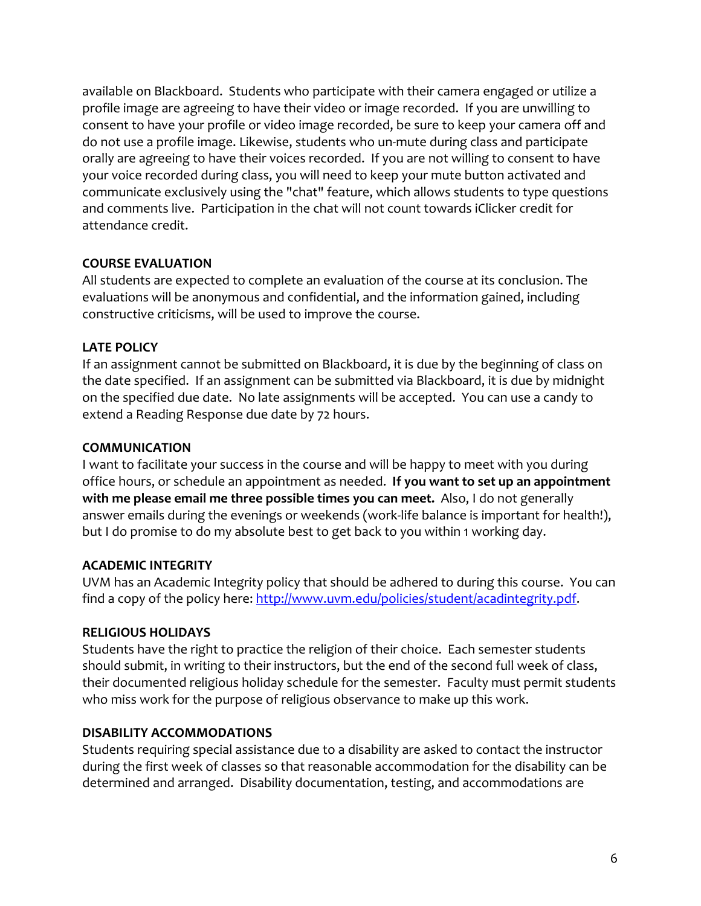available on Blackboard. Students who participate with their camera engaged or utilize a profile image are agreeing to have their video or image recorded. If you are unwilling to consent to have your profile or video image recorded, be sure to keep your camera off and do not use a profile image. Likewise, students who un-mute during class and participate orally are agreeing to have their voices recorded. If you are not willing to consent to have your voice recorded during class, you will need to keep your mute button activated and communicate exclusively using the "chat" feature, which allows students to type questions and comments live. Participation in the chat will not count towards iClicker credit for attendance credit.

### **COURSE EVALUATION**

All students are expected to complete an evaluation of the course at its conclusion. The evaluations will be anonymous and confidential, and the information gained, including constructive criticisms, will be used to improve the course.

### **LATE POLICY**

If an assignment cannot be submitted on Blackboard, it is due by the beginning of class on the date specified. If an assignment can be submitted via Blackboard, it is due by midnight on the specified due date. No late assignments will be accepted. You can use a candy to extend a Reading Response due date by 72 hours.

#### **COMMUNICATION**

I want to facilitate your success in the course and will be happy to meet with you during office hours, or schedule an appointment as needed. **If you want to set up an appointment with me please email me three possible times you can meet.** Also, I do not generally answer emails during the evenings or weekends (work-life balance is important for health!), but I do promise to do my absolute best to get back to you within 1 working day.

# **ACADEMIC INTEGRITY**

UVM has an Academic Integrity policy that should be adhered to during this course. You can find a copy of the policy here: http://www.uvm.edu/policies/student/acadintegrity.pdf.

# **RELIGIOUS HOLIDAYS**

Students have the right to practice the religion of their choice. Each semester students should submit, in writing to their instructors, but the end of the second full week of class, their documented religious holiday schedule for the semester. Faculty must permit students who miss work for the purpose of religious observance to make up this work.

# **DISABILITY ACCOMMODATIONS**

Students requiring special assistance due to a disability are asked to contact the instructor during the first week of classes so that reasonable accommodation for the disability can be determined and arranged. Disability documentation, testing, and accommodations are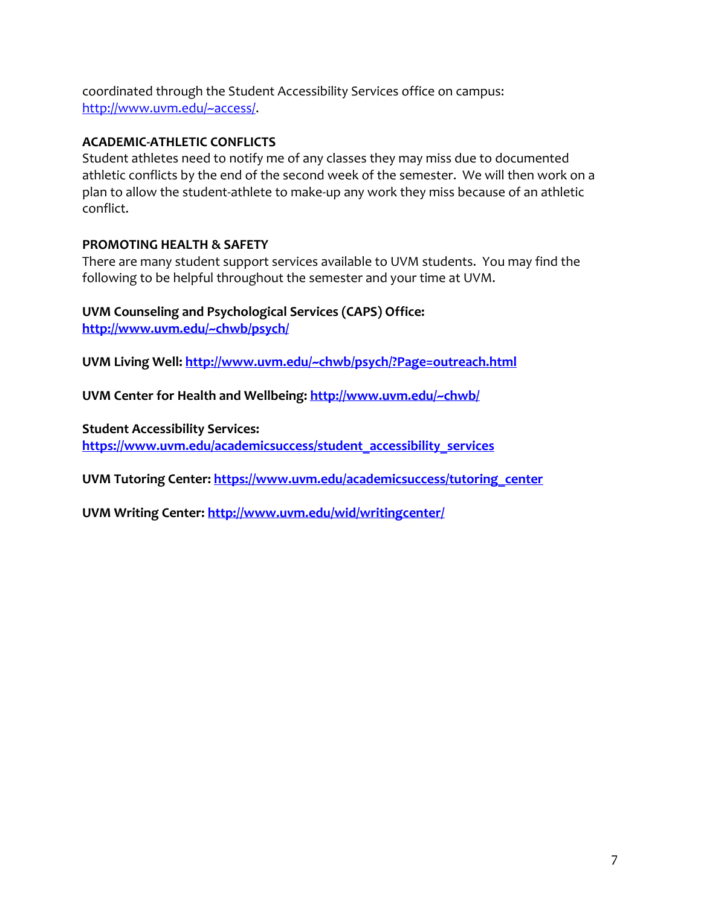coordinated through the Student Accessibility Services office on campus: http://www.uvm.edu/~access/.

#### **ACADEMIC-ATHLETIC CONFLICTS**

Student athletes need to notify me of any classes they may miss due to documented athletic conflicts by the end of the second week of the semester. We will then work on a plan to allow the student-athlete to make-up any work they miss because of an athletic conflict.

### **PROMOTING HEALTH & SAFETY**

There are many student support services available to UVM students. You may find the following to be helpful throughout the semester and your time at UVM.

# **UVM Counseling and Psychological Services (CAPS) Office:**

**http://www.uvm.edu/~chwb/psych/**

**UVM Living Well: http://www.uvm.edu/~chwb/psych/?Page=outreach.html**

**UVM Center for Health and Wellbeing: http://www.uvm.edu/~chwb/**

**Student Accessibility Services:** 

**https://www.uvm.edu/academicsuccess/student\_accessibility\_services**

UVM Tutoring Center: https://www.uvm.edu/academicsuccess/tutoring\_center

**UVM Writing Center: http://www.uvm.edu/wid/writingcenter/**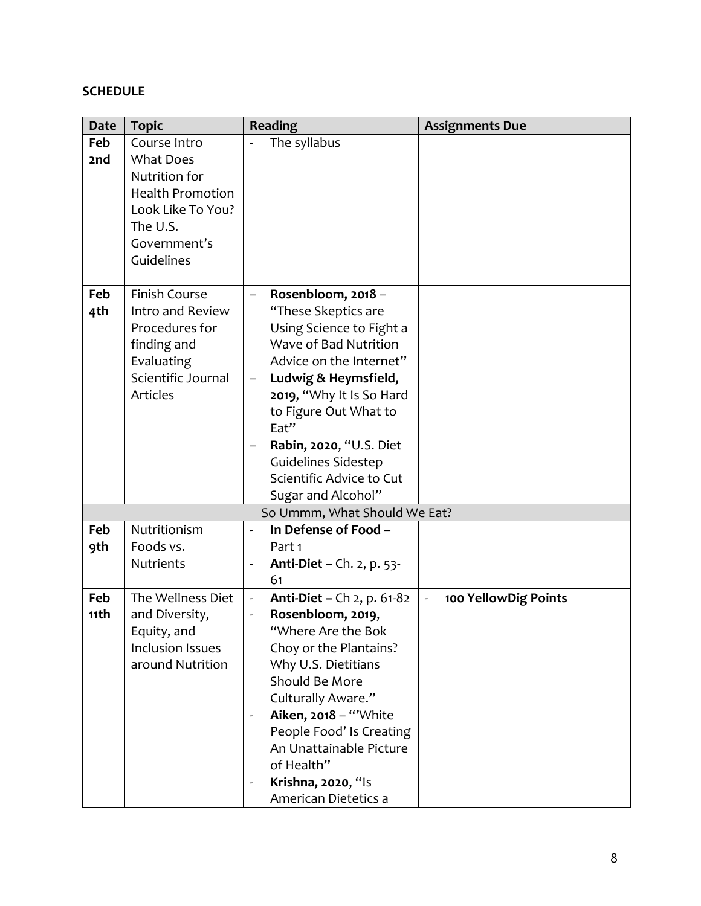# **SCHEDULE**

| <b>Date</b> | <b>Topic</b>            | <b>Reading</b>                                      | <b>Assignments Due</b>                 |
|-------------|-------------------------|-----------------------------------------------------|----------------------------------------|
| Feb         | Course Intro            | The syllabus                                        |                                        |
| 2nd         | <b>What Does</b>        |                                                     |                                        |
|             | Nutrition for           |                                                     |                                        |
|             | <b>Health Promotion</b> |                                                     |                                        |
|             | Look Like To You?       |                                                     |                                        |
|             | The U.S.                |                                                     |                                        |
|             | Government's            |                                                     |                                        |
|             | Guidelines              |                                                     |                                        |
|             |                         |                                                     |                                        |
| Feb         | <b>Finish Course</b>    | Rosenbloom, 2018 -<br>-                             |                                        |
| 4th         | Intro and Review        | "These Skeptics are                                 |                                        |
|             | Procedures for          | Using Science to Fight a                            |                                        |
|             | finding and             | Wave of Bad Nutrition                               |                                        |
|             | Evaluating              | Advice on the Internet"                             |                                        |
|             | Scientific Journal      | Ludwig & Heymsfield,<br>—                           |                                        |
|             | <b>Articles</b>         | 2019, "Why It Is So Hard                            |                                        |
|             |                         | to Figure Out What to                               |                                        |
|             |                         | Eat"                                                |                                        |
|             |                         | Rabin, 2020, "U.S. Diet                             |                                        |
|             |                         | <b>Guidelines Sidestep</b>                          |                                        |
|             |                         | Scientific Advice to Cut                            |                                        |
|             |                         | Sugar and Alcohol"                                  |                                        |
|             |                         | So Ummm, What Should We Eat?                        |                                        |
| Feb         | Nutritionism            | In Defense of Food -<br>$\overline{a}$              |                                        |
| 9th         | Foods vs.               | Part 1                                              |                                        |
|             | <b>Nutrients</b>        | <b>Anti-Diet – Ch. 2, p. 53-</b><br>-               |                                        |
|             |                         | 61                                                  |                                        |
| Feb         | The Wellness Diet       | <b>Anti-Diet – Ch 2, p. 61-82</b><br>$\blacksquare$ | 100 YellowDig Points<br>$\blacksquare$ |
| 11th        | and Diversity,          | Rosenbloom, 2019,                                   |                                        |
|             | Equity, and             | "Where Are the Bok                                  |                                        |
|             | <b>Inclusion Issues</b> | Choy or the Plantains?                              |                                        |
|             | around Nutrition        | Why U.S. Dietitians                                 |                                        |
|             |                         | Should Be More                                      |                                        |
|             |                         | Culturally Aware."                                  |                                        |
|             |                         | Aiken, 2018 - "White<br>$\frac{1}{2}$               |                                        |
|             |                         | People Food' Is Creating                            |                                        |
|             |                         | An Unattainable Picture                             |                                        |
|             |                         | of Health"                                          |                                        |
|             |                         | Krishna, 2020, "Is<br>$\qquad \qquad \blacksquare$  |                                        |
|             |                         | American Dietetics a                                |                                        |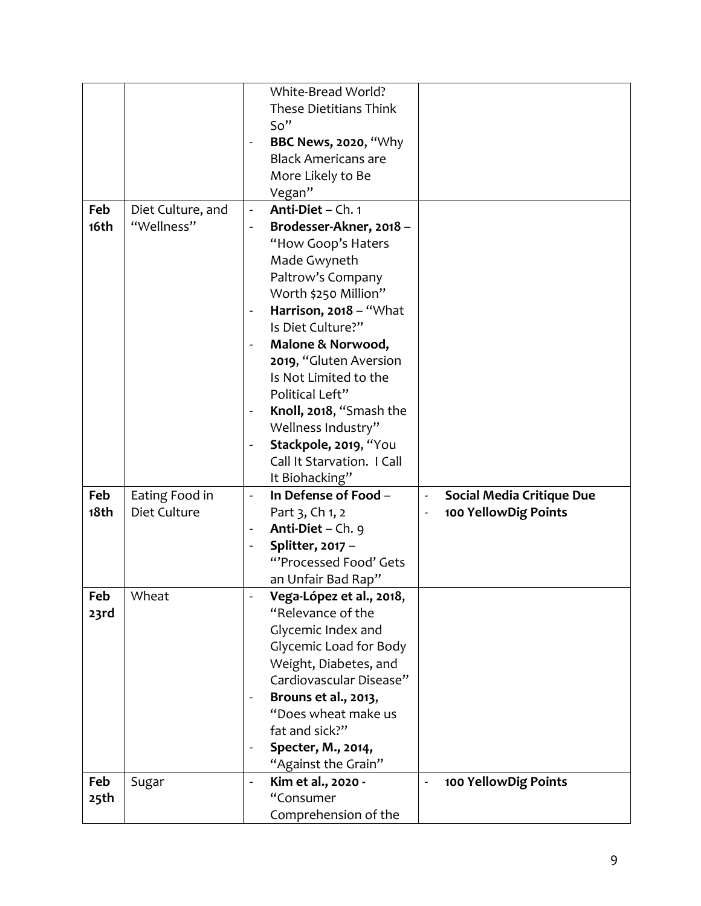|      |                   | White-Bread World?                                     |                                                    |
|------|-------------------|--------------------------------------------------------|----------------------------------------------------|
|      |                   | <b>These Dietitians Think</b>                          |                                                    |
|      |                   | So''                                                   |                                                    |
|      |                   | <b>BBC News, 2020, "Why</b>                            |                                                    |
|      |                   | <b>Black Americans are</b>                             |                                                    |
|      |                   | More Likely to Be                                      |                                                    |
|      |                   | Vegan"                                                 |                                                    |
| Feb  | Diet Culture, and | Anti-Diet - Ch. 1<br>$\Box$                            |                                                    |
| 16th | "Wellness"        |                                                        |                                                    |
|      |                   | Brodesser-Akner, 2018 -                                |                                                    |
|      |                   | "How Goop's Haters                                     |                                                    |
|      |                   | Made Gwyneth                                           |                                                    |
|      |                   | Paltrow's Company                                      |                                                    |
|      |                   | Worth \$250 Million"                                   |                                                    |
|      |                   | Harrison, 2018 - "What<br>$\qquad \qquad \blacksquare$ |                                                    |
|      |                   | Is Diet Culture?"                                      |                                                    |
|      |                   | Malone & Norwood,<br>$\qquad \qquad \blacksquare$      |                                                    |
|      |                   | 2019, "Gluten Aversion                                 |                                                    |
|      |                   | Is Not Limited to the                                  |                                                    |
|      |                   | Political Left"                                        |                                                    |
|      |                   | Knoll, 2018, "Smash the<br>$\frac{1}{2}$               |                                                    |
|      |                   | Wellness Industry"                                     |                                                    |
|      |                   | Stackpole, 2019, "You                                  |                                                    |
|      |                   | Call It Starvation. I Call                             |                                                    |
|      |                   |                                                        |                                                    |
|      |                   | It Biohacking"                                         |                                                    |
| Feb  | Eating Food in    | In Defense of Food -<br>$\blacksquare$                 | <b>Social Media Critique Due</b><br>$\overline{a}$ |
| 18th | Diet Culture      | Part 3, Ch 1, 2                                        | 100 YellowDig Points                               |
|      |                   | Anti-Diet - Ch. 9                                      |                                                    |
|      |                   | Splitter, 2017 -                                       |                                                    |
|      |                   | "'Processed Food' Gets                                 |                                                    |
|      |                   | an Unfair Bad Rap"                                     |                                                    |
| Feb  | Wheat             | Vega-López et al., 2018,                               |                                                    |
| 23rd |                   | "Relevance of the                                      |                                                    |
|      |                   | Glycemic Index and                                     |                                                    |
|      |                   | Glycemic Load for Body                                 |                                                    |
|      |                   | Weight, Diabetes, and                                  |                                                    |
|      |                   | Cardiovascular Disease"                                |                                                    |
|      |                   |                                                        |                                                    |
|      |                   | Brouns et al., 2013,<br>"Does wheat make us            |                                                    |
|      |                   | fat and sick?"                                         |                                                    |
|      |                   | Specter, M., 2014,<br>$\overline{\phantom{a}}$         |                                                    |
|      |                   | "Against the Grain"                                    |                                                    |
| Feb  | Sugar             | Kim et al., 2020 -<br>$\overline{\phantom{0}}$         | 100 YellowDig Points                               |
| 25th |                   | "Consumer                                              |                                                    |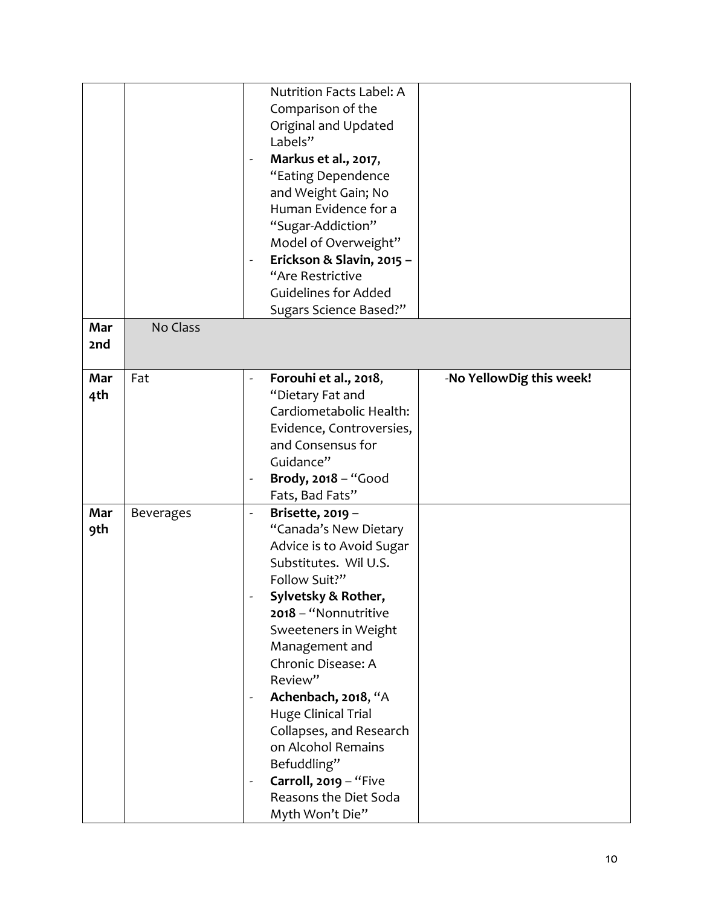|            |                  | Nutrition Facts Label: A<br>Comparison of the<br>Original and Updated<br>Labels"<br>Markus et al., 2017,<br>$\qquad \qquad \blacksquare$<br>"Eating Dependence<br>and Weight Gain; No<br>Human Evidence for a<br>"Sugar-Addiction"<br>Model of Overweight"<br>Erickson & Slavin, 2015 -<br>$\overline{\phantom{0}}$<br>"Are Restrictive<br><b>Guidelines for Added</b>                                                                                |                          |
|------------|------------------|-------------------------------------------------------------------------------------------------------------------------------------------------------------------------------------------------------------------------------------------------------------------------------------------------------------------------------------------------------------------------------------------------------------------------------------------------------|--------------------------|
|            |                  | Sugars Science Based?"                                                                                                                                                                                                                                                                                                                                                                                                                                |                          |
| Mar<br>2nd | No Class         |                                                                                                                                                                                                                                                                                                                                                                                                                                                       |                          |
| Mar<br>4th | Fat              | Forouhi et al., 2018,<br>$\overline{\phantom{0}}$<br>"Dietary Fat and<br>Cardiometabolic Health:<br>Evidence, Controversies,<br>and Consensus for<br>Guidance"<br>Brody, 2018 - "Good<br>Fats, Bad Fats"                                                                                                                                                                                                                                              | -No YellowDig this week! |
| Mar<br>9th | <b>Beverages</b> | Brisette, 2019 -<br>$\blacksquare$<br>"Canada's New Dietary<br>Advice is to Avoid Sugar<br>Substitutes. Wil U.S.<br>Follow Suit?"<br>Sylvetsky & Rother,<br>2018 - "Nonnutritive<br>Sweeteners in Weight<br>Management and<br>Chronic Disease: A<br>Review"<br>Achenbach, 2018, "A<br><b>Huge Clinical Trial</b><br>Collapses, and Research<br>on Alcohol Remains<br>Befuddling"<br>Carroll, 2019 - "Five<br>Reasons the Diet Soda<br>Myth Won't Die" |                          |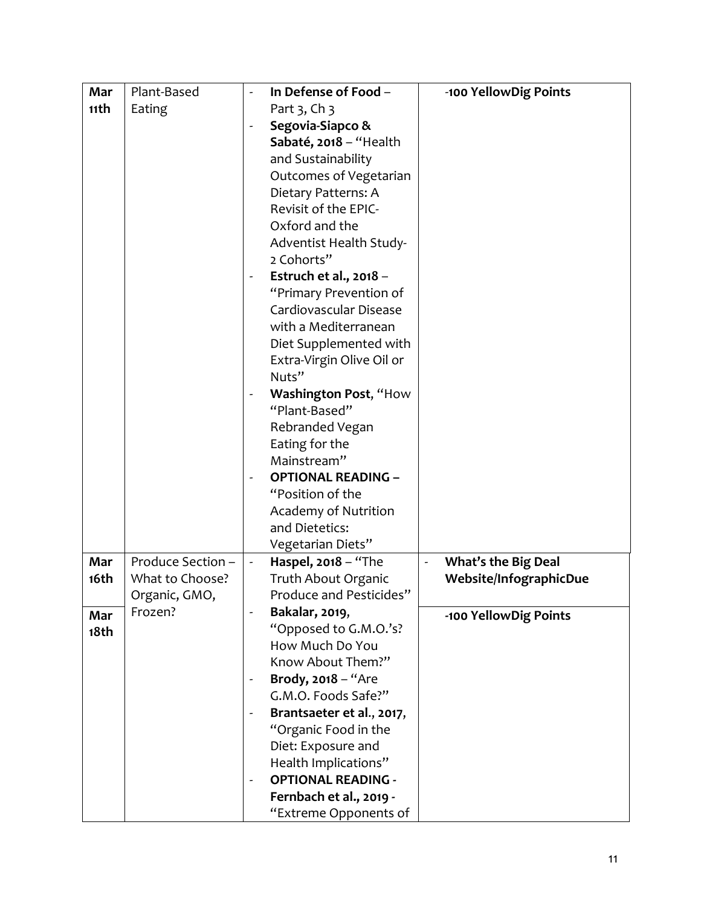| Mar  | Plant-Based       | In Defense of Food -                                  | -100 YellowDig Points      |
|------|-------------------|-------------------------------------------------------|----------------------------|
| 11th | Eating            | Part 3, Ch 3                                          |                            |
|      |                   | Segovia-Siapco &                                      |                            |
|      |                   | Sabaté, 2018 - "Health                                |                            |
|      |                   | and Sustainability                                    |                            |
|      |                   | Outcomes of Vegetarian                                |                            |
|      |                   | Dietary Patterns: A                                   |                            |
|      |                   | Revisit of the EPIC-                                  |                            |
|      |                   | Oxford and the                                        |                            |
|      |                   | Adventist Health Study-                               |                            |
|      |                   | 2 Cohorts"                                            |                            |
|      |                   | Estruch et al., 2018 -                                |                            |
|      |                   | "Primary Prevention of                                |                            |
|      |                   | Cardiovascular Disease                                |                            |
|      |                   | with a Mediterranean                                  |                            |
|      |                   | Diet Supplemented with                                |                            |
|      |                   | Extra-Virgin Olive Oil or                             |                            |
|      |                   | Nuts"                                                 |                            |
|      |                   | Washington Post, "How<br>$\qquad \qquad \blacksquare$ |                            |
|      |                   | "Plant-Based"                                         |                            |
|      |                   | Rebranded Vegan                                       |                            |
|      |                   | Eating for the                                        |                            |
|      |                   | Mainstream"                                           |                            |
|      |                   | <b>OPTIONAL READING -</b>                             |                            |
|      |                   | "Position of the                                      |                            |
|      |                   | Academy of Nutrition                                  |                            |
|      |                   | and Dietetics:                                        |                            |
|      |                   | Vegetarian Diets"                                     |                            |
| Mar  | Produce Section - | Haspel, $2018 -$ "The<br>$\blacksquare$               | <b>What's the Big Deal</b> |
| 16th | What to Choose?   | Truth About Organic                                   | Website/InfographicDue     |
|      | Organic, GMO,     | Produce and Pesticides"                               |                            |
| Mar  | Frozen?           | Bakalar, 2019,<br>$\overline{a}$                      | -100 YellowDig Points      |
| 18th |                   | "Opposed to G.M.O.'s?                                 |                            |
|      |                   | How Much Do You                                       |                            |
|      |                   | Know About Them?"                                     |                            |
|      |                   | Brody, 2018 - "Are<br>$\qquad \qquad \blacksquare$    |                            |
|      |                   | G.M.O. Foods Safe?"                                   |                            |
|      |                   | Brantsaeter et al., 2017,                             |                            |
|      |                   | "Organic Food in the                                  |                            |
|      |                   | Diet: Exposure and                                    |                            |
|      |                   | Health Implications"                                  |                            |
|      |                   | <b>OPTIONAL READING -</b>                             |                            |
|      |                   | Fernbach et al., 2019 -                               |                            |
|      |                   | "Extreme Opponents of                                 |                            |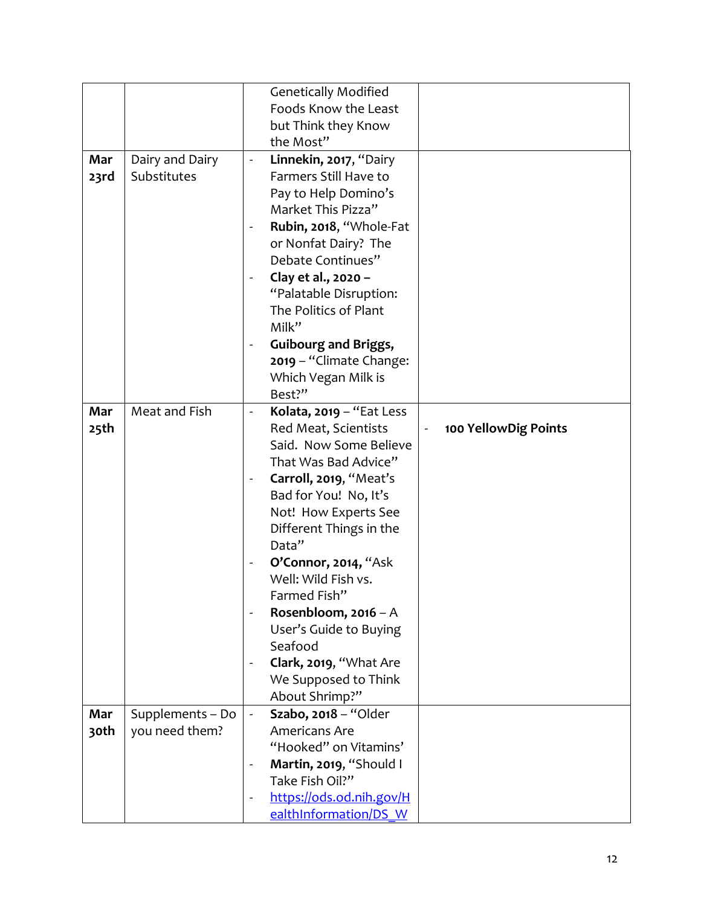|      |                  | <b>Genetically Modified</b>                            |
|------|------------------|--------------------------------------------------------|
|      |                  | Foods Know the Least                                   |
|      |                  | but Think they Know                                    |
|      |                  | the Most"                                              |
| Mar  | Dairy and Dairy  | Linnekin, 2017, "Dairy<br>$\overline{\phantom{a}}$     |
| 23rd | Substitutes      | Farmers Still Have to                                  |
|      |                  | Pay to Help Domino's                                   |
|      |                  | Market This Pizza"                                     |
|      |                  | Rubin, 2018, "Whole-Fat<br>$\blacksquare$              |
|      |                  | or Nonfat Dairy? The                                   |
|      |                  | Debate Continues"                                      |
|      |                  |                                                        |
|      |                  | Clay et al., 2020 -                                    |
|      |                  | "Palatable Disruption:                                 |
|      |                  | The Politics of Plant                                  |
|      |                  | Milk"                                                  |
|      |                  | <b>Guibourg and Briggs,</b><br>$\blacksquare$          |
|      |                  | 2019 - "Climate Change:                                |
|      |                  | Which Vegan Milk is                                    |
|      |                  | Best?"                                                 |
| Mar  | Meat and Fish    | Kolata, 2019 - "Eat Less<br>$\blacksquare$             |
| 25th |                  | 100 YellowDig Points<br>Red Meat, Scientists           |
|      |                  | Said. Now Some Believe                                 |
|      |                  | That Was Bad Advice"                                   |
|      |                  | Carroll, 2019, "Meat's<br>$\qquad \qquad \blacksquare$ |
|      |                  | Bad for You! No, It's                                  |
|      |                  | Not! How Experts See                                   |
|      |                  | Different Things in the                                |
|      |                  | Data"                                                  |
|      |                  | O'Connor, 2014, "Ask<br>$\overline{\phantom{a}}$       |
|      |                  | Well: Wild Fish vs.                                    |
|      |                  | Farmed Fish"                                           |
|      |                  | Rosenbloom, 2016 - A                                   |
|      |                  | User's Guide to Buying                                 |
|      |                  | Seafood                                                |
|      |                  | Clark, 2019, "What Are                                 |
|      |                  | We Supposed to Think                                   |
|      |                  | About Shrimp?"                                         |
| Mar  | Supplements - Do | Szabo, 2018 - "Older<br>$\blacksquare$                 |
| 30th | you need them?   | Americans Are                                          |
|      |                  | "Hooked" on Vitamins'                                  |
|      |                  | Martin, 2019, "Should I<br>$\overline{\phantom{a}}$    |
|      |                  | Take Fish Oil?"                                        |
|      |                  | https://ods.od.nih.gov/H<br>$\blacksquare$             |
|      |                  | ealthInformation/DS W                                  |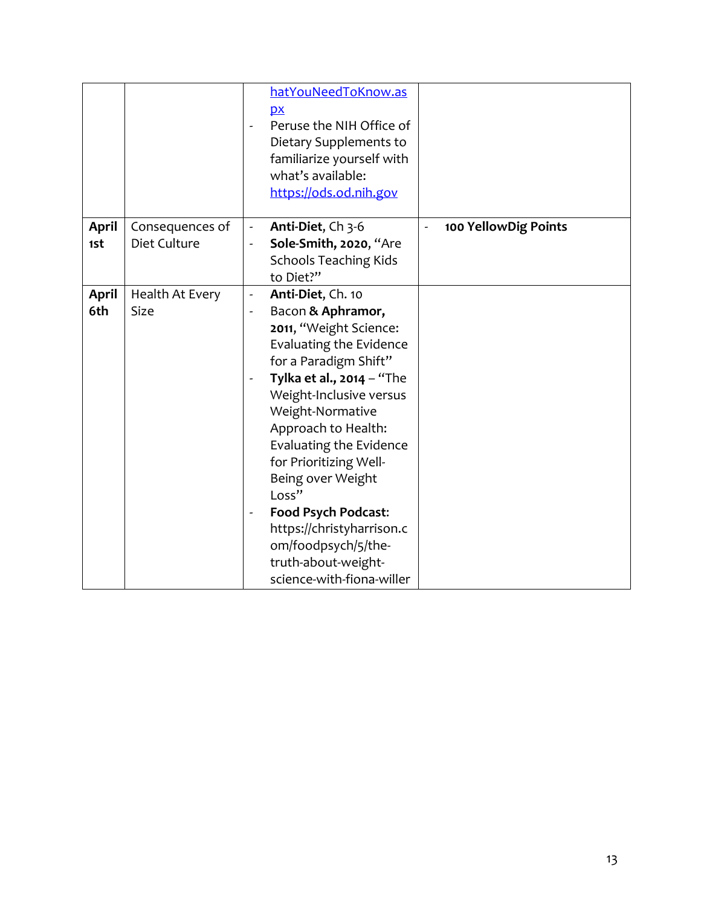|                     |                                 | hatYouNeedToKnow.as<br>p x<br>Peruse the NIH Office of<br>Dietary Supplements to<br>familiarize yourself with<br>what's available:<br>https://ods.od.nih.gov                                                                                                                                                                                                                                                                                                                   |                      |
|---------------------|---------------------------------|--------------------------------------------------------------------------------------------------------------------------------------------------------------------------------------------------------------------------------------------------------------------------------------------------------------------------------------------------------------------------------------------------------------------------------------------------------------------------------|----------------------|
| <b>April</b><br>1st | Consequences of<br>Diet Culture | Anti-Diet, Ch 3-6<br>$\overline{\phantom{a}}$<br>Sole-Smith, 2020, "Are<br>-<br><b>Schools Teaching Kids</b><br>to Diet?"                                                                                                                                                                                                                                                                                                                                                      | 100 YellowDig Points |
| April<br>6th        | Health At Every<br><b>Size</b>  | Anti-Diet, Ch. 10<br>$\blacksquare$<br>Bacon & Aphramor,<br>-<br>2011, "Weight Science:<br>Evaluating the Evidence<br>for a Paradigm Shift"<br>Tylka et al., $2014 -$ "The<br>Weight-Inclusive versus<br>Weight-Normative<br>Approach to Health:<br>Evaluating the Evidence<br>for Prioritizing Well-<br>Being over Weight<br>Loss"<br><b>Food Psych Podcast:</b><br>-<br>https://christyharrison.c<br>om/foodpsych/5/the-<br>truth-about-weight-<br>science-with-fiona-willer |                      |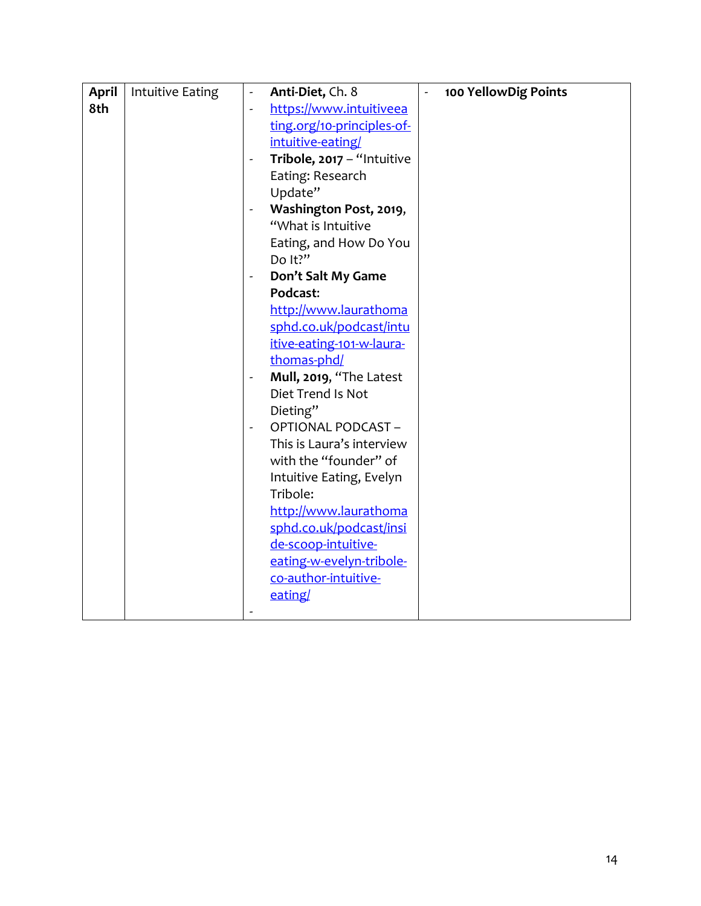| <b>April</b> | <b>Intuitive Eating</b> | $\overline{\phantom{a}}$ | Anti-Diet, Ch. 8           | 100 YellowDig Points |
|--------------|-------------------------|--------------------------|----------------------------|----------------------|
| 8th          |                         | ÷,                       | https://www.intuitiveea    |                      |
|              |                         |                          | ting.org/10-principles-of- |                      |
|              |                         |                          | intuitive-eating/          |                      |
|              |                         |                          | Tribole, 2017 - "Intuitive |                      |
|              |                         |                          | Eating: Research           |                      |
|              |                         |                          | Update"                    |                      |
|              |                         |                          | Washington Post, 2019,     |                      |
|              |                         |                          | "What is Intuitive         |                      |
|              |                         |                          | Eating, and How Do You     |                      |
|              |                         |                          | Do It?"                    |                      |
|              |                         | $\blacksquare$           | Don't Salt My Game         |                      |
|              |                         |                          | Podcast:                   |                      |
|              |                         |                          | http://www.laurathoma      |                      |
|              |                         |                          | sphd.co.uk/podcast/intu    |                      |
|              |                         |                          | itive-eating-101-w-laura-  |                      |
|              |                         |                          | thomas-phd/                |                      |
|              |                         | $\blacksquare$           | Mull, 2019, "The Latest    |                      |
|              |                         |                          | Diet Trend Is Not          |                      |
|              |                         |                          | Dieting"                   |                      |
|              |                         |                          | <b>OPTIONAL PODCAST-</b>   |                      |
|              |                         |                          | This is Laura's interview  |                      |
|              |                         |                          | with the "founder" of      |                      |
|              |                         |                          | Intuitive Eating, Evelyn   |                      |
|              |                         |                          | Tribole:                   |                      |
|              |                         |                          | http://www.laurathoma      |                      |
|              |                         |                          | sphd.co.uk/podcast/insi    |                      |
|              |                         |                          | de-scoop-intuitive-        |                      |
|              |                         |                          | eating-w-evelyn-tribole-   |                      |
|              |                         |                          | co-author-intuitive-       |                      |
|              |                         |                          | eating/                    |                      |
|              |                         |                          |                            |                      |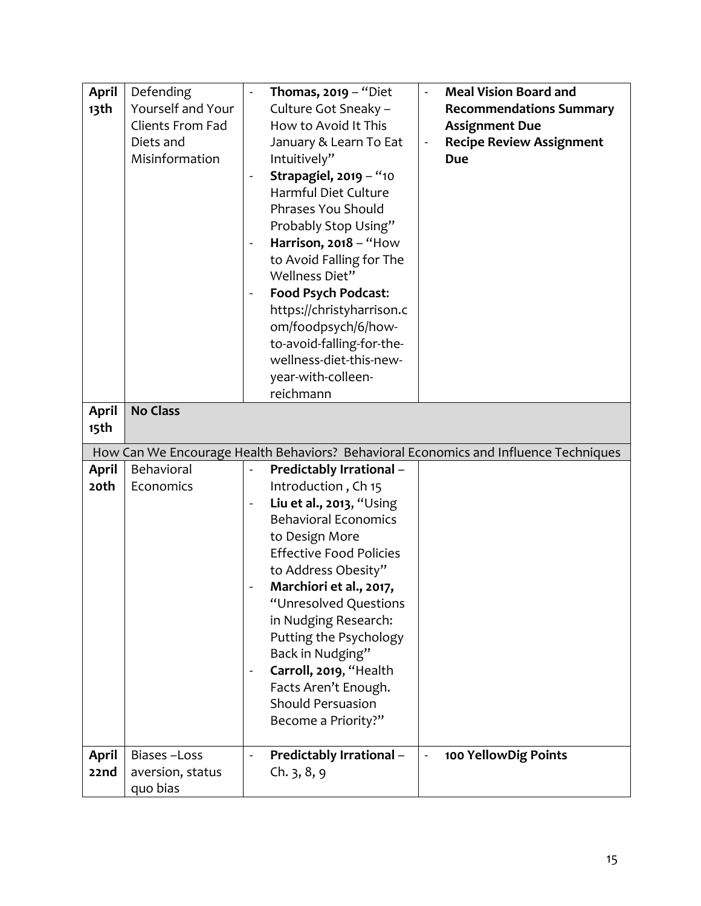| April            | Defending                    | Thomas, $2019 -$ "Diet                    | <b>Meal Vision Board and</b><br>$\blacksquare$                                       |
|------------------|------------------------------|-------------------------------------------|--------------------------------------------------------------------------------------|
| 13 <sup>th</sup> | Yourself and Your            | Culture Got Sneaky -                      | <b>Recommendations Summary</b>                                                       |
|                  | Clients From Fad             | How to Avoid It This                      | <b>Assignment Due</b>                                                                |
|                  | Diets and                    | January & Learn To Eat                    | <b>Recipe Review Assignment</b>                                                      |
|                  | Misinformation               | Intuitively"                              | <b>Due</b>                                                                           |
|                  |                              | <b>Strapagiel, 2019 - "10</b>             |                                                                                      |
|                  |                              | Harmful Diet Culture                      |                                                                                      |
|                  |                              | Phrases You Should                        |                                                                                      |
|                  |                              | Probably Stop Using"                      |                                                                                      |
|                  |                              | Harrison, 2018 - "How<br>$\blacksquare$   |                                                                                      |
|                  |                              | to Avoid Falling for The                  |                                                                                      |
|                  |                              | Wellness Diet"                            |                                                                                      |
|                  |                              | <b>Food Psych Podcast:</b>                |                                                                                      |
|                  |                              | https://christyharrison.c                 |                                                                                      |
|                  |                              | om/foodpsych/6/how-                       |                                                                                      |
|                  |                              | to-avoid-falling-for-the-                 |                                                                                      |
|                  |                              | wellness-diet-this-new-                   |                                                                                      |
|                  |                              | year-with-colleen-                        |                                                                                      |
|                  |                              | reichmann                                 |                                                                                      |
| April            | <b>No Class</b>              |                                           |                                                                                      |
| 15th             |                              |                                           |                                                                                      |
|                  |                              |                                           |                                                                                      |
|                  |                              |                                           | How Can We Encourage Health Behaviors? Behavioral Economics and Influence Techniques |
| <b>April</b>     | Behavioral                   | <b>Predictably Irrational -</b>           |                                                                                      |
| 20th             | Economics                    | Introduction, Ch 15                       |                                                                                      |
|                  |                              | Liu et al., 2013, "Using<br>$\frac{1}{2}$ |                                                                                      |
|                  |                              | <b>Behavioral Economics</b>               |                                                                                      |
|                  |                              | to Design More                            |                                                                                      |
|                  |                              | <b>Effective Food Policies</b>            |                                                                                      |
|                  |                              | to Address Obesity"                       |                                                                                      |
|                  |                              | Marchiori et al., 2017,                   |                                                                                      |
|                  |                              | "Unresolved Questions                     |                                                                                      |
|                  |                              | in Nudging Research:                      |                                                                                      |
|                  |                              | Putting the Psychology                    |                                                                                      |
|                  |                              | Back in Nudging"                          |                                                                                      |
|                  |                              | Carroll, 2019, "Health                    |                                                                                      |
|                  |                              | Facts Aren't Enough.                      |                                                                                      |
|                  |                              | <b>Should Persuasion</b>                  |                                                                                      |
|                  |                              | Become a Priority?"                       |                                                                                      |
|                  |                              |                                           |                                                                                      |
| <b>April</b>     | Biases-Loss                  | <b>Predictably Irrational -</b>           | 100 YellowDig Points                                                                 |
| 22nd             | aversion, status<br>quo bias | Ch. 3, 8, 9                               |                                                                                      |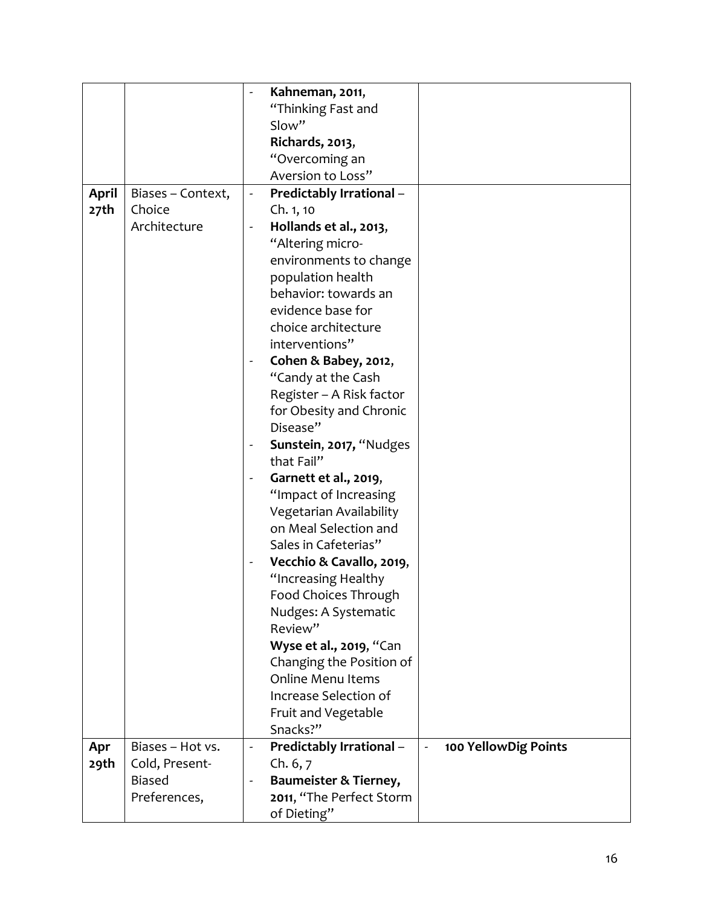|              |                   |                          | Kahneman, 2011,                  |                |                      |
|--------------|-------------------|--------------------------|----------------------------------|----------------|----------------------|
|              |                   |                          | "Thinking Fast and               |                |                      |
|              |                   |                          | Slow"                            |                |                      |
|              |                   |                          | Richards, 2013,                  |                |                      |
|              |                   |                          | "Overcoming an                   |                |                      |
|              |                   |                          | Aversion to Loss"                |                |                      |
| <b>April</b> | Biases - Context, | $\blacksquare$           | Predictably Irrational -         |                |                      |
| 27th         | Choice            |                          | Ch. 1, 10                        |                |                      |
|              | Architecture      |                          | Hollands et al., 2013,           |                |                      |
|              |                   |                          | "Altering micro-                 |                |                      |
|              |                   |                          | environments to change           |                |                      |
|              |                   |                          | population health                |                |                      |
|              |                   |                          | behavior: towards an             |                |                      |
|              |                   |                          | evidence base for                |                |                      |
|              |                   |                          | choice architecture              |                |                      |
|              |                   |                          | interventions"                   |                |                      |
|              |                   |                          | Cohen & Babey, 2012,             |                |                      |
|              |                   |                          | "Candy at the Cash               |                |                      |
|              |                   |                          | Register - A Risk factor         |                |                      |
|              |                   |                          | for Obesity and Chronic          |                |                      |
|              |                   |                          | Disease"                         |                |                      |
|              |                   |                          | Sunstein, 2017, "Nudges          |                |                      |
|              |                   |                          | that Fail"                       |                |                      |
|              |                   |                          | Garnett et al., 2019,            |                |                      |
|              |                   |                          | "Impact of Increasing            |                |                      |
|              |                   |                          | Vegetarian Availability          |                |                      |
|              |                   |                          | on Meal Selection and            |                |                      |
|              |                   |                          | Sales in Cafeterias"             |                |                      |
|              |                   | $\overline{\phantom{a}}$ | Vecchio & Cavallo, 2019,         |                |                      |
|              |                   |                          | "Increasing Healthy              |                |                      |
|              |                   |                          | Food Choices Through             |                |                      |
|              |                   |                          | Nudges: A Systematic             |                |                      |
|              |                   |                          | Review"                          |                |                      |
|              |                   |                          | Wyse et al., 2019, "Can          |                |                      |
|              |                   |                          | Changing the Position of         |                |                      |
|              |                   |                          | <b>Online Menu Items</b>         |                |                      |
|              |                   |                          | Increase Selection of            |                |                      |
|              |                   |                          | Fruit and Vegetable              |                |                      |
|              |                   |                          | Snacks?"                         |                |                      |
| Apr          | Biases - Hot vs.  | $\blacksquare$           | <b>Predictably Irrational -</b>  | $\blacksquare$ | 100 YellowDig Points |
| 29th         | Cold, Present-    |                          | Ch. 6, 7                         |                |                      |
|              | <b>Biased</b>     |                          | <b>Baumeister &amp; Tierney,</b> |                |                      |
|              | Preferences,      |                          | 2011, "The Perfect Storm         |                |                      |
|              |                   |                          | of Dieting"                      |                |                      |